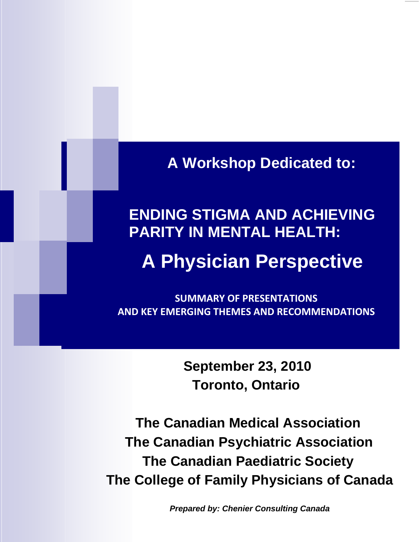**A Workshop Dedicated to:** 

 **Page**

**1. Introduction** 1

**Summary of Presentations** 

The Patient Expe ence, ri Mr. Michael Creek 2

Physicians and Stigma, Dr. Heather Stuart 5

. .

#### Stigma towards c **ENDING STIGMA AND ACHIEVING PARITY IN MENTAL HEALTH:** Shunned: Eviden

# **A Physician Perspective**

Kaufman Children and Youth, Dr. Miriam 20 **SUMMARY OF PRESENTATIONS ENGAND CHANGES AND RECOMMENDATIONS** 

m Physicians and the health care syste 29 **onto, Ontario Tor** Physicians' personal experience of stigma 25 **Physicians and the September 23, 2010** Physicians as a profession 28

**The Canadian Medical Association The Canadian Deediatric Seciety The Canadian Paediatric Society 5. Closing Remarks: D The Canadian Psychiatric Association The College of Family Physicians of Canada**

*Prepared by: Chenier Consulting Canada*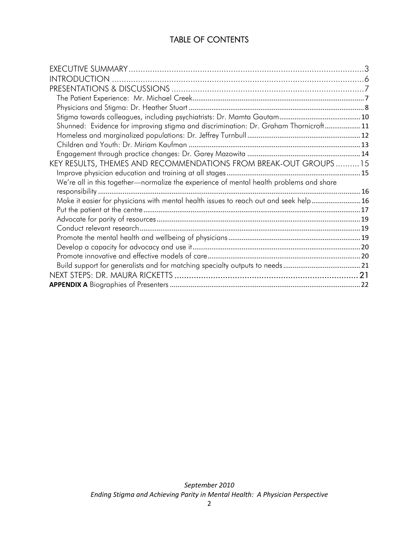## TABLE OF CONTENTS

| Shunned: Evidence for improving stigma and discrimination: Dr. Graham Thornicroft 11    |  |
|-----------------------------------------------------------------------------------------|--|
|                                                                                         |  |
|                                                                                         |  |
|                                                                                         |  |
| KEY RESULTS, THEMES AND RECOMMENDATIONS FROM BREAK-OUT GROUPS15                         |  |
|                                                                                         |  |
| We're all in this together-normalize the experience of mental health problems and share |  |
|                                                                                         |  |
| Make it easier for physicians with mental health issues to reach out and seek help 16   |  |
|                                                                                         |  |
|                                                                                         |  |
|                                                                                         |  |
|                                                                                         |  |
|                                                                                         |  |
|                                                                                         |  |
|                                                                                         |  |
|                                                                                         |  |
|                                                                                         |  |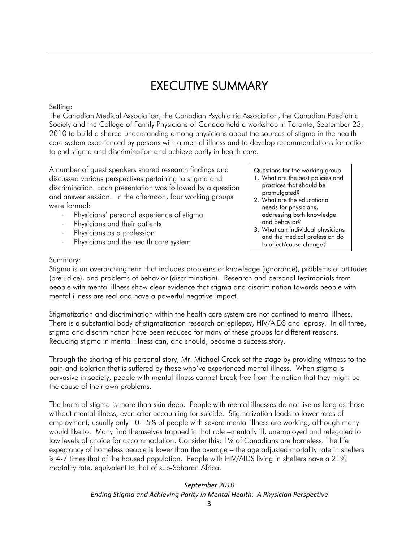## EXECUTIVE SUMMARY

#### <span id="page-2-0"></span>Setting:

The Canadian Medical Association, the Canadian Psychiatric Association, the Canadian Paediatric Society and the College of Family Physicians of Canada held a workshop in Toronto, September 23, 2010 to build a shared understanding among physicians about the sources of stigma in the health care system experienced by persons with a mental illness and to develop recommendations for action to end stigma and discrimination and achieve parity in health care.

A number of guest speakers shared research findings and discussed various perspectives pertaining to stigma and discrimination. Each presentation was followed by a question and answer session. In the afternoon, four working groups were formed:

- Physicians' personal experience of stigma
- Physicians and their patients
- Physicians as a profession
- Physicians and the health care system

Questions for the working group 1. What are the best policies and practices that should be promulgated?

- 2. What are the educational needs for physicians, addressing both knowledge and behavior?
- 3. What can individual physicians and the medical profession do to affect/cause change?

#### Summary:

Stigma is an overarching term that includes problems of knowledge (ignorance), problems of attitudes (prejudice), and problems of behavior (discrimination). Research and personal testimonials from people with mental illness show clear evidence that stigma and discrimination towards people with mental illness are real and have a powerful negative impact.

Stigmatization and discrimination within the health care system are not confined to mental illness. There is a substantial body of stigmatization research on epilepsy, HIV/AIDS and leprosy. In all three, stigma and discrimination have been reduced for many of these groups for different reasons. Reducing stigma in mental illness can, and should, become a success story.

Through the sharing of his personal story, Mr. Michael Creek set the stage by providing witness to the pain and isolation that is suffered by those who've experienced mental illness. When stigma is pervasive in society, people with mental illness cannot break free from the notion that they might be the cause of their own problems.

The harm of stigma is more than skin deep. People with mental illnesses do not live as long as those without mental illness, even after accounting for suicide. Stigmatization leads to lower rates of employment; usually only 10-15% of people with severe mental illness are working, although many would like to. Many find themselves trapped in that role –mentally ill, unemployed and relegated to low levels of choice for accommodation. Consider this: 1% of Canadians are homeless. The life expectancy of homeless people is lower than the average – the age adjusted mortality rate in shelters is 4-7 times that of the housed population. People with HIV/AIDS living in shelters have a 21% mortality rate, equivalent to that of sub-Saharan Africa.

#### *September 2010*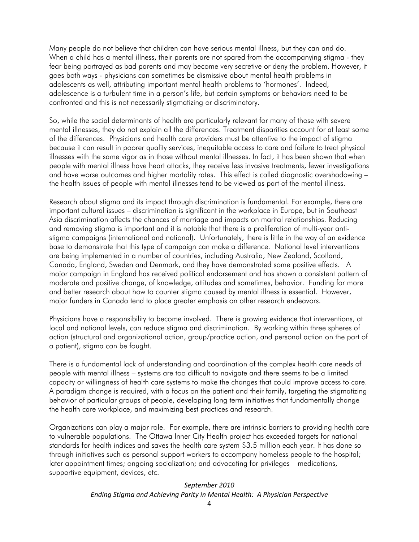Many people do not believe that children can have serious mental illness, but they can and do. When a child has a mental illness, their parents are not spared from the accompanying stigma - they fear being portrayed as bad parents and may become very secretive or deny the problem. However, it goes both ways - physicians can sometimes be dismissive about mental health problems in adolescents as well, attributing important mental health problems to 'hormones'. Indeed, adolescence is a turbulent time in a person's life, but certain symptoms or behaviors need to be confronted and this is not necessarily stigmatizing or discriminatory.

So, while the social determinants of health are particularly relevant for many of those with severe mental illnesses, they do not explain all the differences. Treatment disparities account for at least some of the differences. Physicians and health care providers must be attentive to the impact of stigma because it can result in poorer quality services, inequitable access to care and failure to treat physical illnesses with the same vigor as in those without mental illnesses. In fact, it has been shown that when people with mental illness have heart attacks, they receive less invasive treatments, fewer investigations and have worse outcomes and higher mortality rates. This effect is called diagnostic overshadowing – the health issues of people with mental illnesses tend to be viewed as part of the mental illness.

Research about stigma and its impact through discrimination is fundamental. For example, there are important cultural issues – discrimination is significant in the workplace in Europe, but in Southeast Asia discrimination affects the chances of marriage and impacts on marital relationships. Reducing and removing stigma is important and it is notable that there is a proliferation of multi-year antistigma campaigns (international and national). Unfortunately, there is little in the way of an evidence base to demonstrate that this type of campaign can make a difference. National level interventions are being implemented in a number of countries, including Australia, New Zealand, Scotland, Canada, England, Sweden and Denmark, and they have demonstrated some positive effects. A major campaign in England has received political endorsement and has shown a consistent pattern of moderate and positive change, of knowledge, attitudes and sometimes, behavior. Funding for more and better research about how to counter stigma caused by mental illness is essential. However, major funders in Canada tend to place greater emphasis on other research endeavors.

Physicians have a responsibility to become involved. There is growing evidence that interventions, at local and national levels, can reduce stigma and discrimination. By working within three spheres of action (structural and organizational action, group/practice action, and personal action on the part of a patient), stigma can be fought.

There is a fundamental lack of understanding and coordination of the complex health care needs of people with mental illness – systems are too difficult to navigate and there seems to be a limited capacity or willingness of health care systems to make the changes that could improve access to care. A paradigm change is required, with a focus on the patient and their family, targeting the stigmatizing behavior of particular groups of people, developing long term initiatives that fundamentally change the health care workplace, and maximizing best practices and research.

Organizations can play a major role. For example, there are intrinsic barriers to providing health care to vulnerable populations. The Ottawa Inner City Health project has exceeded targets for national standards for health indices and saves the health care system \$3.5 million each year. It has done so through initiatives such as personal support workers to accompany homeless people to the hospital; later appointment times; ongoing socialization; and advocating for privileges – medications, supportive equipment, devices, etc.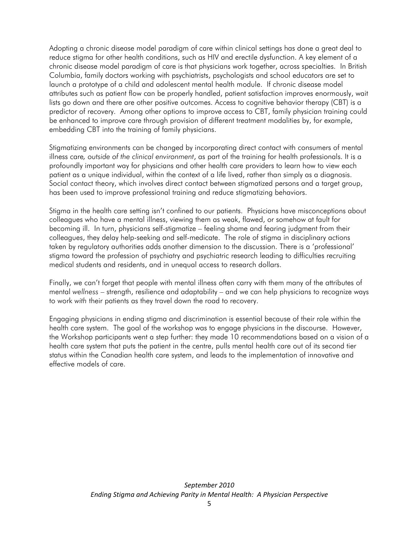Adopting a chronic disease model paradigm of care within clinical settings has done a great deal to reduce stigma for other health conditions, such as HIV and erectile dysfunction. A key element of a chronic disease model paradigm of care is that physicians work together, across specialties. In British Columbia, family doctors working with psychiatrists, psychologists and school educators are set to launch a prototype of a child and adolescent mental health module. If chronic disease model attributes such as patient flow can be properly handled, patient satisfaction improves enormously, wait lists go down and there are other positive outcomes. Access to cognitive behavior therapy (CBT) is a predictor of recovery. Among other options to improve access to CBT, family physician training could be enhanced to improve care through provision of different treatment modalities by, for example, embedding CBT into the training of family physicians.

Stigmatizing environments can be changed by incorporating direct contact with consumers of mental illness care*, outside of the clinical environment*, as part of the training for health professionals. It is a profoundly important way for physicians and other health care providers to learn how to view each patient as a unique individual, within the context of a life lived, rather than simply as a diagnosis. Social contact theory, which involves direct contact between stigmatized persons and a target group, has been used to improve professional training and reduce stigmatizing behaviors.

Stigma in the health care setting isn't confined to our patients. Physicians have misconceptions about colleagues who have a mental illness, viewing them as weak, flawed, or somehow at fault for becoming ill. In turn, physicians self-stigmatize – feeling shame and fearing judgment from their colleagues, they delay help-seeking and self-medicate. The role of stigma in disciplinary actions taken by regulatory authorities adds another dimension to the discussion. There is a 'professional' stigma toward the profession of psychiatry and psychiatric research leading to difficulties recruiting medical students and residents, and in unequal access to research dollars.

Finally, we can't forget that people with mental illness often carry with them many of the attributes of mental *wellness* – strength, resilience and adaptability – and we can help physicians to recognize ways to work *with* their patients as they travel down the road to recovery.

Engaging physicians in ending stigma and discrimination is essential because of their role within the health care system. The goal of the workshop was to engage physicians in the discourse. However, the Workshop participants went a step further: they made 10 recommendations based on a vision of a health care system that puts the patient in the centre, pulls mental health care out of its second tier status within the Canadian health care system, and leads to the implementation of innovative and effective models of care.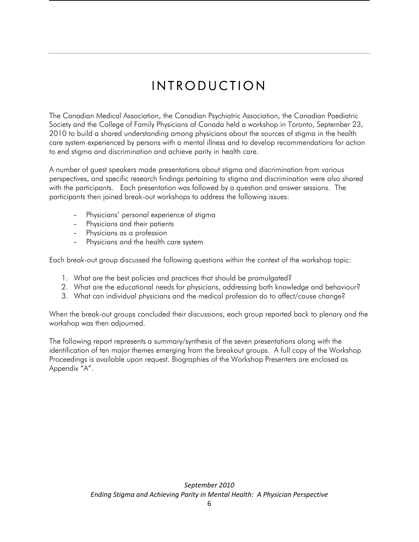## INTRODUCTION

<span id="page-5-0"></span>The Canadian Medical Association, the Canadian Psychiatric Association, the Canadian Paediatric Society and the College of Family Physicians of Canada held a workshop in Toronto, September 23, 2010 to build a shared understanding among physicians about the sources of stigma in the health care system experienced by persons with a mental illness and to develop recommendations for action to end stigma and discrimination and achieve parity in health care.

A number of guest speakers made presentations about stigma and discrimination from various perspectives, and specific research findings pertaining to stigma and discrimination were also shared with the participants. Each presentation was followed by a question and answer sessions. The participants then joined break-out workshops to address the following issues:

- Physicians' personal experience of stigma
- Physicians and their patients
- Physicians as a profession
- Physicians and the health care system

Each break-out group discussed the following questions within the context of the workshop topic:

- 1. What are the best policies and practices that should be promulgated?
- 2. What are the educational needs for physicians, addressing both knowledge and behaviour?
- 3. What can individual physicians and the medical profession do to affect/cause change?

When the break-out groups concluded their discussions, each group reported back to plenary and the workshop was then adjourned.

The following report represents a summary/synthesis of the seven presentations along with the identification of ten major themes emerging from the breakout groups. A full copy of the Workshop Proceedings is available upon request. Biographies of the Workshop Presenters are enclosed as Appendix "A".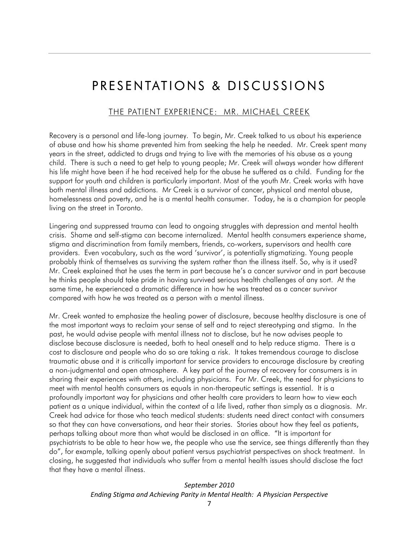## <span id="page-6-0"></span>PRESENTATIONS & DISCUSSIONS

#### THE PATIENT EXPERIENCE: MR. MICHAEL CREEK

Recovery is a personal and life-long journey. To begin, Mr. Creek talked to us about his experience of abuse and how his shame prevented him from seeking the help he needed. Mr. Creek spent many years in the street, addicted to drugs and trying to live with the memories of his abuse as a young child. There is such a need to get help to young people; Mr. Creek will always wonder how different his life might have been if he had received help for the abuse he suffered as a child. Funding for the support for youth and children is particularly important. Most of the youth Mr. Creek works with have both mental illness and addictions. Mr Creek is a survivor of cancer, physical and mental abuse, homelessness and poverty, and he is a mental health consumer. Today, he is a champion for people living on the street in Toronto.

Lingering and suppressed trauma can lead to ongoing struggles with depression and mental health crisis. Shame and self-stigma can become internalized. Mental health consumers experience shame, stigma and discrimination from family members, friends, co-workers, supervisors and health care providers. Even vocabulary, such as the word 'survivor', is potentially stigmatizing. Young people probably think of themselves as surviving the system rather than the illness itself. So, why is it used? Mr. Creek explained that he uses the term in part because he's a cancer survivor and in part because he thinks people should take pride in having survived serious health challenges of any sort. At the same time, he experienced a dramatic difference in how he was treated as a cancer survivor compared with how he was treated as a person with a mental illness.

Mr. Creek wanted to emphasize the healing power of disclosure, because healthy disclosure is one of the most important ways to reclaim your sense of self and to reject stereotyping and stigma. In the past, he would advise people with mental illness not to disclose, but he now advises people to disclose because disclosure is needed, both to heal oneself and to help reduce stigma. There is a cost to disclosure and people who do so are taking a risk. It takes tremendous courage to disclose traumatic abuse and it is critically important for service providers to encourage disclosure by creating a non-judgmental and open atmosphere. A key part of the journey of recovery for consumers is in sharing their experiences with others, including physicians. For Mr. Creek, the need for physicians to meet with mental health consumers as equals in non-therapeutic settings is essential. It is a profoundly important way for physicians and other health care providers to learn how to view each patient as a unique individual, within the context of a life lived, rather than simply as a diagnosis. Mr. Creek had advice for those who teach medical students: students need direct contact with consumers so that they can have conversations, and hear their stories. Stories about how they feel as patients, perhaps talking about more than what would be disclosed in an office. "It is important for psychiatrists to be able to hear how we, the people who use the service, see things differently than they do", for example, talking openly about patient versus psychiatrist perspectives on shock treatment. In closing, he suggested that individuals who suffer from a mental health issues should disclose the fact that they have a mental illness.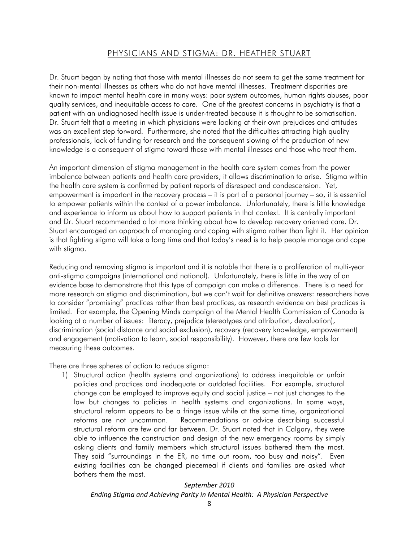## PHYSICIANS AND STIGMA: DR. HEATHER STUART

<span id="page-7-0"></span>Dr. Stuart began by noting that those with mental illnesses do not seem to get the same treatment for their non-mental illnesses as others who do not have mental illnesses. Treatment disparities are known to impact mental health care in many ways: poor system outcomes, human rights abuses, poor quality services, and inequitable access to care. One of the greatest concerns in psychiatry is that a patient with an undiagnosed health issue is under-treated because it is thought to be somatisation. Dr. Stuart felt that a meeting in which physicians were looking at their own prejudices and attitudes was an excellent step forward. Furthermore, she noted that the difficulties attracting high quality professionals, lack of funding for research and the consequent slowing of the production of new knowledge is a consequent of stigma toward those with mental illnesses and those who treat them.

An important dimension of stigma management in the health care system comes from the power imbalance between patients and health care providers; it allows discrimination to arise. Stigma within the health care system is confirmed by patient reports of disrespect and condescension. Yet, empowerment is important in the recovery process – it is part of a personal journey – so, it is essential to empower patients within the context of a power imbalance. Unfortunately, there is little knowledge and experience to inform us about how to support patients in that context. It is centrally important and Dr. Stuart recommended a lot more thinking about how to develop recovery oriented care. Dr. Stuart encouraged an approach of managing and coping with stigma rather than fight it. Her opinion is that fighting stigma will take a long time and that today's need is to help people manage and cope with stigma.

Reducing and removing stigma is important and it is notable that there is a proliferation of multi-year anti-stigma campaigns (international and national). Unfortunately, there is little in the way of an evidence base to demonstrate that this type of campaign can make a difference. There is a need for more research on stigma and discrimination, but we can't wait for definitive answers: researchers have to consider "promising" practices rather than best practices, as research evidence on best practices is limited. For example, the Opening Minds campaign of the Mental Health Commission of Canada is looking at a number of issues: literacy, prejudice (stereotypes and attribution, devaluation), discrimination (social distance and social exclusion), recovery (recovery knowledge, empowerment) and engagement (motivation to learn, social responsibility). However, there are few tools for measuring these outcomes.

There are three spheres of action to reduce stigma:

1) Structural action (health systems and organizations) to address inequitable or unfair policies and practices and inadequate or outdated facilities. For example, structural change can be employed to improve equity and social justice – not just changes to the law but changes to policies in health systems and organizations. In some ways, structural reform appears to be a fringe issue while at the same time, organizational reforms are not uncommon. Recommendations or advice describing successful structural reform are few and far between. Dr. Stuart noted that in Calgary, they were able to influence the construction and design of the new emergency rooms by simply asking clients and family members which structural issues bothered them the most. They said "surroundings in the ER, no time out room, too busy and noisy". Even existing facilities can be changed piecemeal if clients and families are asked what bothers them the most.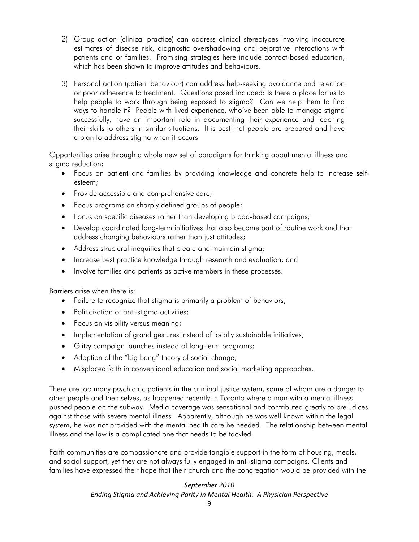- 2) Group action (clinical practice) can address clinical stereotypes involving inaccurate estimates of disease risk, diagnostic overshadowing and pejorative interactions with patients and or families. Promising strategies here include contact-based education, which has been shown to improve attitudes and behaviours.
- 3) Personal action (patient behaviour) can address help-seeking avoidance and rejection or poor adherence to treatment. Questions posed included: Is there a place for us to help people to work through being exposed to stigma? Can we help them to find ways to handle it? People with lived experience, who've been able to manage stigma successfully, have an important role in documenting their experience and teaching their skills to others in similar situations. It is best that people are prepared and have a plan to address stigma when it occurs.

Opportunities arise through a whole new set of paradigms for thinking about mental illness and stigma reduction:

- Focus on patient and families by providing knowledge and concrete help to increase selfesteem;
- Provide accessible and comprehensive care;
- Focus programs on sharply defined groups of people;
- Focus on specific diseases rather than developing broad-based campaigns;
- Develop coordinated long-term initiatives that also become part of routine work and that address changing behaviours rather than just attitudes;
- Address structural inequities that create and maintain stigma;
- Increase best practice knowledge through research and evaluation; and
- Involve families and patients as active members in these processes.

Barriers arise when there is:

- Failure to recognize that stigma is primarily a problem of behaviors;
- Politicization of anti-stigma activities;
- Focus on visibility versus meaning;
- Implementation of grand gestures instead of locally sustainable initiatives;
- Glitzy campaign launches instead of long-term programs;
- Adoption of the "big bang" theory of social change;
- Misplaced faith in conventional education and social marketing approaches.

There are too many psychiatric patients in the criminal justice system, some of whom are a danger to other people and themselves, as happened recently in Toronto where a man with a mental illness pushed people on the subway. Media coverage was sensational and contributed greatly to prejudices against those with severe mental illness. Apparently, although he was well known within the legal system, he was not provided with the mental health care he needed. The relationship between mental illness and the law is a complicated one that needs to be tackled.

Faith communities are compassionate and provide tangible support in the form of housing, meals, and social support, yet they are not always fully engaged in anti-stigma campaigns. Clients and families have expressed their hope that their church and the congregation would be provided with the

#### *September 2010*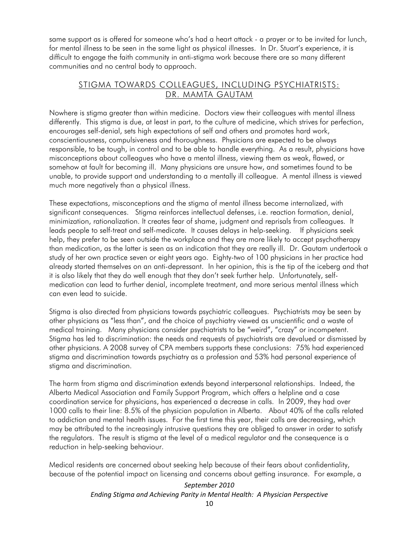<span id="page-9-0"></span>same support as is offered for someone who's had a heart attack - a prayer or to be invited for lunch, for mental illness to be seen in the same light as physical illnesses. In Dr. Stuart's experience, it is difficult to engage the faith community in anti-stigma work because there are so many different communities and no central body to approach.

## STIGMA TOWARDS COLLEAGUES, INCLUDING PSYCHIATRISTS: DR. MAMTA GAUTAM

Nowhere is stigma greater than within medicine. Doctors view their colleagues with mental illness differently. This stigma is due, at least in part, to the culture of medicine, which strives for perfection, encourages self-denial, sets high expectations of self and others and promotes hard work, conscientiousness, compulsiveness and thoroughness. Physicians are expected to be always responsible, to be tough, in control and to be able to handle everything. As a result, physicians have misconceptions about colleagues who have a mental illness, viewing them as weak, flawed, or somehow at fault for becoming ill. Many physicians are unsure how, and sometimes found to be unable, to provide support and understanding to a mentally ill colleague. A mental illness is viewed much more negatively than a physical illness.

These expectations, misconceptions and the stigma of mental illness become internalized, with significant consequences. Stigma reinforces intellectual defenses, i.e. reaction formation, denial, minimization, rationalization. It creates fear of shame, judgment and reprisals from colleagues. It leads people to self-treat and self-medicate. It causes delays in help-seeking. If physicians seek help, they prefer to be seen outside the workplace and they are more likely to accept psychotherapy than medication, as the latter is seen as an indication that they are really ill. Dr. Gautam undertook a study of her own practice seven or eight years ago. Eighty-two of 100 physicians in her practice had already started themselves on an anti-depressant. In her opinion, this is the tip of the iceberg and that it is also likely that they do well enough that they don't seek further help. Unfortunately, selfmedication can lead to further denial, incomplete treatment, and more serious mental illness which can even lead to suicide.

Stigma is also directed from physicians towards psychiatric colleagues. Psychiatrists may be seen by other physicians as "less than", and the choice of psychiatry viewed as unscientific and a waste of medical training. Many physicians consider psychiatrists to be "weird", "crazy" or incompetent. Stigma has led to discrimination: the needs and requests of psychiatrists are devalued or dismissed by other physicians. A 2008 survey of CPA members supports these conclusions: 75% had experienced stigma and discrimination towards psychiatry as a profession and 53% had personal experience of stigma and discrimination.

The harm from stigma and discrimination extends beyond interpersonal relationships. Indeed, the Alberta Medical Association and Family Support Program, which offers a helpline and a case coordination service for physicians, has experienced a decrease in calls. In 2009, they had over 1000 calls to their line: 8.5% of the physician population in Alberta. About 40% of the calls related to addiction and mental health issues. For the first time this year, their calls are decreasing, which may be attributed to the increasingly intrusive questions they are obliged to answer in order to satisfy the regulators. The result is stigma at the level of a medical regulator and the consequence is a reduction in help-seeking behaviour.

Medical residents are concerned about seeking help because of their fears about confidentiality, because of the potential impact on licensing and concerns about getting insurance. For example, a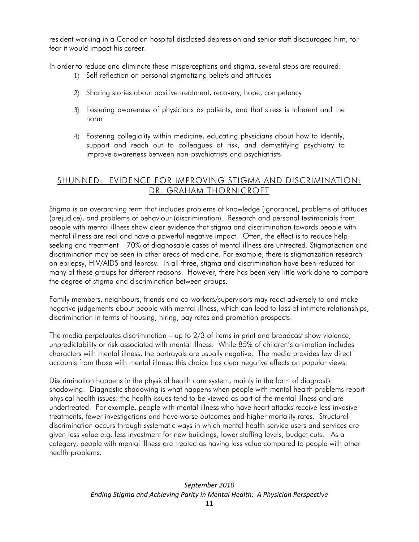<span id="page-10-0"></span>resident working in a Canadian hospital disclosed depression and senior staff discouraged him, for fear it would impact his career.

In order to reduce and eliminate these misperceptions and stigma, several steps are required:

- 1) Self-reflection on personal stigmatizing beliefs and attitudes
- 2) Sharing stories about positive treatment, recovery, hope, competency
- 3) Fostering awareness of physicians as patients, and that stress is inherent and the norm
- 4) Fostering collegiality within medicine, educating physicians about how to identify, support and reach out to colleagues at risk, and demystifying psychiatry to improve awareness between non-psychiatrists and psychiatrists.

## SHUNNED: EVIDENCE FOR IMPROVING STIGMA AND DISCRIMINATION: DR. GRAHAM THORNICROFT

Stigma is an overarching term that includes problems of knowledge (ignorance), problems of attitudes (prejudice), and problems of behaviour (discrimination). Research and personal testimonials from people with mental illness show clear evidence that stigma and discrimination towards people with mental illness are real and have a powerful negative impact. Often, the effect is to reduce helpseeking and treatment – 70% of diagnosable cases of mental illness are untreated. Stigmatization and discrimination may be seen in other areas of medicine. For example, there is stigmatization research on epilepsy, HIV/AIDS and leprosy. In all three, stigma and discrimination have been reduced for many of these groups for different reasons. However, there has been very little work done to compare the degree of stigma and discrimination between groups.

Family members, neighbours, friends and co-workers/supervisors may react adversely to and make negative judgements about people with mental illness, which can lead to loss of intimate relationships, discrimination in terms of housing, hiring, pay rates and promotion prospects.

The media perpetuates discrimination  $-$  up to  $2/3$  of items in print and broadcast show violence, unpredictability or risk associated with mental illness. While 85% of children's animation includes characters with mental illness, the portrayals are usually negative. The media provides few direct accounts from those with mental illness; this choice has clear negative effects on popular views.

Discrimination happens in the physical health care system, mainly in the form of diagnostic shadowing. Diagnostic shadowing is what happens when people with mental health problems report physical health issues: the health issues tend to be viewed as part of the mental illness and are undertreated. For example, people with mental illness who have heart attacks receive less invasive treatments, fewer investigations and have worse outcomes and higher mortality rates. Structural discrimination occurs through systematic ways in which mental health service users and services are given less value e.g. less investment for new buildings, lower staffing levels, budget cuts. As a category, people with mental illness are treated as having less value compared to people with other health problems.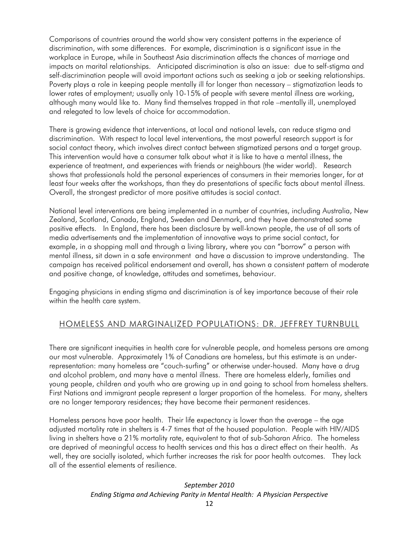<span id="page-11-0"></span>Comparisons of countries around the world show very consistent patterns in the experience of discrimination, with some differences. For example, discrimination is a significant issue in the workplace in Europe, while in Southeast Asia discrimination affects the chances of marriage and impacts on marital relationships. Anticipated discrimination is also an issue: due to self-stigma and self-discrimination people will avoid important actions such as seeking a job or seeking relationships. Poverty plays a role in keeping people mentally ill for longer than necessary – stigmatization leads to lower rates of employment; usually only 10-15% of people with severe mental illness are working, although many would like to. Many find themselves trapped in that role –mentally ill, unemployed and relegated to low levels of choice for accommodation.

There is growing evidence that interventions, at local and national levels, can reduce stigma and discrimination. With respect to local level interventions, the most powerful research support is for social contact theory, which involves direct contact between stigmatized persons and a target group. This intervention would have a consumer talk about what it is like to have a mental illness, the experience of treatment, and experiences with friends or neighbours (the wider world). Research shows that professionals hold the personal experiences of consumers in their memories longer, for at least four weeks after the workshops, than they do presentations of specific facts about mental illness. Overall, the strongest predictor of more positive attitudes is social contact.

National level interventions are being implemented in a number of countries, including Australia, New Zealand, Scotland, Canada, England, Sweden and Denmark, and they have demonstrated some positive effects. In England, there has been disclosure by well-known people, the use of all sorts of media advertisements and the implementation of innovative ways to prime social contact, for example, in a shopping mall and through a living library, where you can "borrow" a person with mental illness, sit down in a safe environment and have a discussion to improve understanding. The campaign has received political endorsement and overall, has shown a consistent pattern of moderate and positive change, of knowledge, attitudes and sometimes, behaviour.

Engaging physicians in ending stigma and discrimination is of key importance because of their role within the health care system.

## HOMELESS AND MARGINALIZED POPULATIONS: DR. JEFFREY TURNBULL

There are significant inequities in health care for vulnerable people, and homeless persons are among our most vulnerable. Approximately 1% of Canadians are homeless, but this estimate is an underrepresentation: many homeless are "couch-surfing" or otherwise under-housed. Many have a drug and alcohol problem, and many have a mental illness. There are homeless elderly, families and young people, children and youth who are growing up in and going to school from homeless shelters. First Nations and immigrant people represent a larger proportion of the homeless. For many, shelters are no longer temporary residences; they have become their permanent residences.

Homeless persons have poor health. Their life expectancy is lower than the average – the age adjusted mortality rate in shelters is 4-7 times that of the housed population. People with HIV/AIDS living in shelters have a 21% mortality rate, equivalent to that of sub-Saharan Africa. The homeless are deprived of meaningful access to health services and this has a direct effect on their health. As well, they are socially isolated, which further increases the risk for poor health outcomes. They lack all of the essential elements of resilience.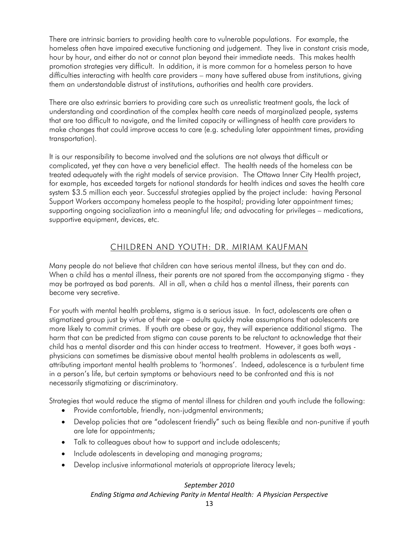<span id="page-12-0"></span>There are intrinsic barriers to providing health care to vulnerable populations. For example, the homeless often have impaired executive functioning and judgement. They live in constant crisis mode, hour by hour, and either do not or cannot plan beyond their immediate needs. This makes health promotion strategies very difficult. In addition, it is more common for a homeless person to have difficulties interacting with health care providers – many have suffered abuse from institutions, giving them an understandable distrust of institutions, authorities and health care providers.

There are also extrinsic barriers to providing care such as unrealistic treatment goals, the lack of understanding and coordination of the complex health care needs of marginalized people, systems that are too difficult to navigate, and the limited capacity or willingness of health care providers to make changes that could improve access to care (e.g. scheduling later appointment times, providing transportation).

It is our responsibility to become involved and the solutions are not always that difficult or complicated, yet they can have a very beneficial effect. The health needs of the homeless can be treated adequately with the right models of service provision. The Ottawa Inner City Health project, for example, has exceeded targets for national standards for health indices and saves the health care system \$3.5 million each year. Successful strategies applied by the project include: having Personal Support Workers accompany homeless people to the hospital; providing later appointment times; supporting ongoing socialization into a meaningful life; and advocating for privileges – medications, supportive equipment, devices, etc.

## CHILDREN AND YOUTH: DR. MIRIAM KAUFMAN

Many people do not believe that children can have serious mental illness, but they can and do. When a child has a mental illness, their parents are not spared from the accompanying stigma - they may be portrayed as bad parents. All in all, when a child has a mental illness, their parents can become very secretive.

For youth with mental health problems, stigma is a serious issue. In fact, adolescents are often a stigmatized group just by virtue of their age – adults quickly make assumptions that adolescents are more likely to commit crimes. If youth are obese or gay, they will experience additional stigma. The harm that can be predicted from stigma can cause parents to be reluctant to acknowledge that their child has a mental disorder and this can hinder access to treatment. However, it goes both ways physicians can sometimes be dismissive about mental health problems in adolescents as well, attributing important mental health problems to 'hormones'. Indeed, adolescence is a turbulent time in a person's life, but certain symptoms or behaviours need to be confronted and this is not necessarily stigmatizing or discriminatory.

Strategies that would reduce the stigma of mental illness for children and youth include the following:

- Provide comfortable, friendly, non-judgmental environments;
- Develop policies that are "adolescent friendly" such as being flexible and non-punitive if youth are late for appointments;
- Talk to colleagues about how to support and include adolescents;
- Include adolescents in developing and managing programs;
- Develop inclusive informational materials at appropriate literacy levels;

#### *September 2010*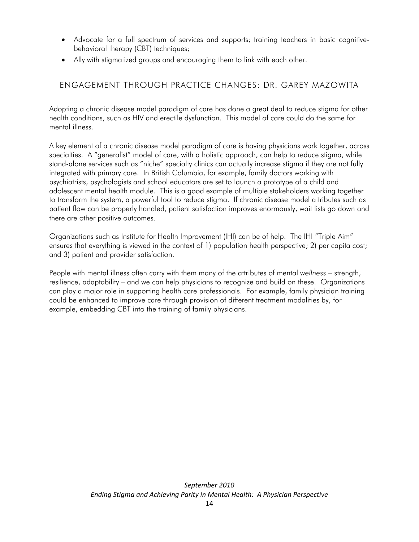- <span id="page-13-0"></span>• Advocate for a full spectrum of services and supports; training teachers in basic cognitivebehavioral therapy (CBT) techniques;
- Ally with stigmatized groups and encouraging them to link with each other.

## ENGAGEMENT THROUGH PRACTICE CHANGES: DR. GAREY MAZOWITA

Adopting a chronic disease model paradigm of care has done a great deal to reduce stigma for other health conditions, such as HIV and erectile dysfunction. This model of care could do the same for mental illness.

A key element of a chronic disease model paradigm of care is having physicians work together, across specialties. A "generalist" model of care, with a holistic approach, can help to reduce stigma, while stand-alone services such as "niche" specialty clinics can actually increase stigma if they are not fully integrated with primary care. In British Columbia, for example, family doctors working with psychiatrists, psychologists and school educators are set to launch a prototype of a child and adolescent mental health module. This is a good example of multiple stakeholders working together to transform the system, a powerful tool to reduce stigma. If chronic disease model attributes such as patient flow can be properly handled, patient satisfaction improves enormously, wait lists go down and there are other positive outcomes.

Organizations such as Institute for Health Improvement (IHI) can be of help. The IHI "Triple Aim" ensures that everything is viewed in the context of 1) population health perspective; 2) per capita cost; and 3) patient and provider satisfaction.

People with mental illness often carry with them many of the attributes of mental *wellness* – strength, resilience, adaptability – and we can help physicians to recognize and build on these. Organizations can play a major role in supporting health care professionals. For example, family physician training could be enhanced to improve care through provision of different treatment modalities by, for example, embedding CBT into the training of family physicians.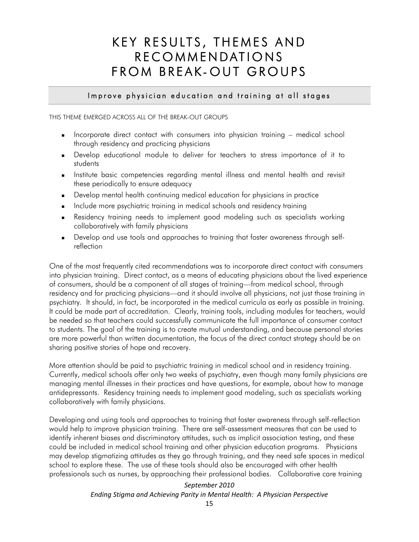## <span id="page-14-0"></span>KEY RESULTS, THEMES AND RECOMMENDATIONS FROM BREAK-OUT GROUPS

#### Improve physician education and training at all stages

THIS THEME EMERGED ACROSS ALL OF THE BREAK-OUT GROUPS

- Incorporate direct contact with consumers into physician training medical school through residency and practicing physicians
- Develop educational module to deliver for teachers to stress importance of it to students
- Institute basic competencies regarding mental illness and mental health and revisit these periodically to ensure adequacy
- Develop mental health continuing medical education for physicians in practice
- **Include more psychiatric training in medical schools and residency training**
- Residency training needs to implement good modeling such as specialists working collaboratively with family physicians
- Develop and use tools and approaches to training that foster awareness through selfreflection

One of the most frequently cited recommendations was to incorporate direct contact with consumers into physician training. Direct contact, as a means of educating physicians about the lived experience of consumers, should be a component of all stages of training—from medical school, through residency and for practicing physicians—and it should involve all physicians, not just those training in psychiatry. It should, in fact, be incorporated in the medical curricula as early as possible in training. It could be made part of accreditation. Clearly, training tools, including modules for teachers, would be needed so that teachers could successfully communicate the full importance of consumer contact to students. The goal of the training is to create mutual understanding, and because personal stories are more powerful than written documentation, the focus of the direct contact strategy should be on sharing positive stories of hope and recovery.

More attention should be paid to psychiatric training in medical school and in residency training. Currently, medical schools offer only two weeks of psychiatry, even though many family physicians are managing mental illnesses in their practices and have questions, for example, about how to manage antidepressants. Residency training needs to implement good modeling, such as specialists working collaboratively with family physicians.

Developing and using tools and approaches to training that foster awareness through self-reflection would help to improve physician training. There are self-assessment measures that can be used to identify inherent biases and discriminatory attitudes, such as implicit association testing, and these could be included in medical school training and other physician education programs. Physicians may develop stigmatizing attitudes as they go through training, and they need safe spaces in medical school to explore these. The use of these tools should also be encouraged with other health professionals such as nurses, by approaching their professional bodies. Collaborative care training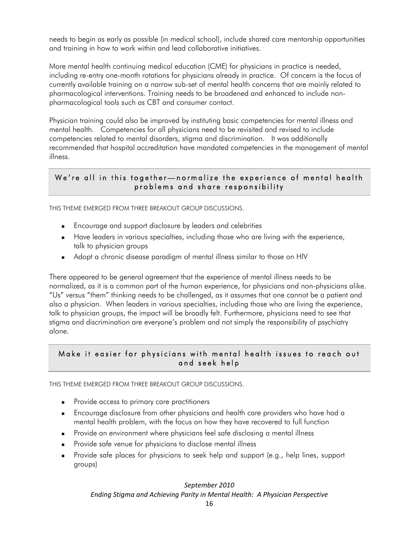<span id="page-15-0"></span>needs to begin as early as possible (in medical school), include shared care mentorship opportunities and training in how to work within and lead collaborative initiatives.

More mental health continuing medical education (CME) for physicians in practice is needed, including re-entry one-month rotations for physicians already in practice. Of concern is the focus of currently available training on a narrow sub-set of mental health concerns that are mainly related to pharmacological interventions. Training needs to be broadened and enhanced to include nonpharmacological tools such as CBT and consumer contact.

Physician training could also be improved by instituting basic competencies for mental illness and mental health. Competencies for all physicians need to be revisited and revised to include competencies related to mental disorders, stigma and discrimination. It was additionally recommended that hospital accreditation have mandated competencies in the management of mental illness.

## We're all in this together—normalize the experience of mental health problems and share responsibility

THIS THEME EMERGED FROM THREE BREAKOUT GROUP DISCUSSIONS.

- Encourage and support disclosure by leaders and celebrities
- **Have leaders in various specialties, including those who are living with the experience,** talk to physician groups
- Adopt a chronic disease paradigm of mental illness similar to those on HIV

There appeared to be general agreement that the experience of mental illness needs to be normalized, as it is a common part of the human experience, for physicians and non-physicians alike. "Us" versus "them" thinking needs to be challenged, as it assumes that one cannot be a patient and also a physician. When leaders in various specialties, including those who are living the experience, talk to physician groups, the impact will be broadly felt. Furthermore, physicians need to see that stigma and discrimination are everyone's problem and not simply the responsibility of psychiatry alone.

## Make it easier for physicians with mental health issues to reach out and seek help

THIS THEME EMERGED FROM THREE BREAKOUT GROUP DISCUSSIONS.

- **Provide access to primary care practitioners**
- Encourage disclosure from other physicians and health care providers who have had a mental health problem, with the focus on how they have recovered to full function
- **Provide an environment where physicians feel safe disclosing a mental illness**
- Provide safe venue for physicians to disclose mental illness
- **Provide safe places for physicians to seek help and support (e.g., help lines, support** groups)

#### *September 2010*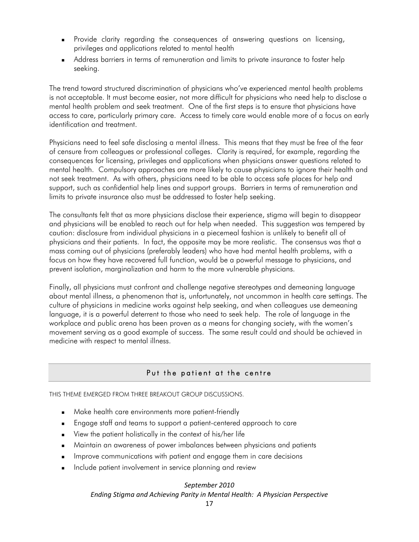- <span id="page-16-0"></span> Provide clarity regarding the consequences of answering questions on licensing, privileges and applications related to mental health
- Address barriers in terms of remuneration and limits to private insurance to foster help seeking.

The trend toward structured discrimination of physicians who've experienced mental health problems is not acceptable. It must become easier, not more difficult for physicians who need help to disclose a mental health problem and seek treatment. One of the first steps is to ensure that physicians have access to care, particularly primary care. Access to timely care would enable more of a focus on early identification and treatment.

Physicians need to feel safe disclosing a mental illness. This means that they must be free of the fear of censure from colleagues or professional colleges. Clarity is required, for example, regarding the consequences for licensing, privileges and applications when physicians answer questions related to mental health. Compulsory approaches are more likely to cause physicians to ignore their health and not seek treatment. As with others, physicians need to be able to access safe places for help and support, such as confidential help lines and support groups. Barriers in terms of remuneration and limits to private insurance also must be addressed to foster help seeking.

The consultants felt that as more physicians disclose their experience, stigma will begin to disappear and physicians will be enabled to reach out for help when needed. This suggestion was tempered by caution: disclosure from individual physicians in a piecemeal fashion is unlikely to benefit all of physicians and their patients. In fact, the opposite may be more realistic. The consensus was that a mass coming out of physicians (preferably leaders) who have had mental health problems, with a focus on how they have recovered full function, would be a powerful message to physicians, and prevent isolation, marginalization and harm to the more vulnerable physicians.

Finally, all physicians must confront and challenge negative stereotypes and demeaning language about mental illness, a phenomenon that is, unfortunately, not uncommon in health care settings. The culture of physicians in medicine works against help seeking, and when colleagues use demeaning language, it is a powerful deterrent to those who need to seek help. The role of language in the workplace and public arena has been proven as a means for changing society, with the women's movement serving as a good example of success. The same result could and should be achieved in medicine with respect to mental illness.

## Put the patient at the centre

THIS THEME EMERGED FROM THREE BREAKOUT GROUP DISCUSSIONS.

- **Make health care environments more patient-friendly**
- Engage staff and teams to support a patient-centered approach to care
- **EXECT** View the patient holistically in the context of his/her life
- Maintain an awareness of power imbalances between physicians and patients
- Improve communications with patient and engage them in care decisions
- Include patient involvement in service planning and review

#### *September 2010*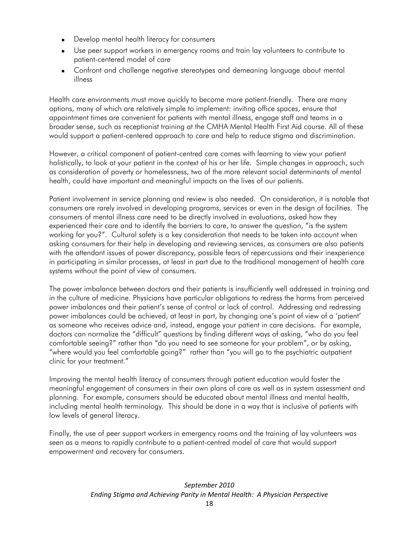- Develop mental health literacy for consumers
- Use peer support workers in emergency rooms and train lay volunteers to contribute to patient-centered model of care
- Confront and challenge negative stereotypes and demeaning language about mental illness

Health care environments must move quickly to become more patient-friendly. There are many options, many of which are relatively simple to implement: inviting office spaces, ensure that appointment times are convenient for patients with mental illness, engage staff and teams in a broader sense, such as receptionist training at the CMHA Mental Health First Aid course. All of these would support a patient-centered approach to care and help to reduce stigma and discrimination.

However, a critical component of patient-centred care comes with learning to view your patient holistically, to look at your patient in the context of his or her life. Simple changes in approach, such as consideration of poverty or homelessness, two of the more relevant social determinants of mental health, could have important and meaningful impacts on the lives of our patients.

Patient involvement in service planning and review is also needed. On consideration, it is notable that consumers are rarely involved in developing programs, services or even in the design of facilities. The consumers of mental illness care need to be directly involved in evaluations, asked how they experienced their care and to identify the barriers to care, to answer the question, "is the system working for you?". Cultural safety is a key consideration that needs to be taken into account when asking consumers for their help in developing and reviewing services, as consumers are also patients with the attendant issues of power discrepancy, possible fears of repercussions and their inexperience in participating in similar processes, at least in part due to the traditional management of health care systems without the point of view of consumers.

The power imbalance between doctors and their patients is insufficiently well addressed in training and in the culture of medicine. Physicians have particular obligations to redress the harms from perceived power imbalances and their patient's sense of control or lack of control. Addressing and redressing power imbalances could be achieved, at least in part, by changing one's point of view of a 'patient' as someone who receives advice and, instead, engage your patient in care decisions. For example, doctors can normalize the "difficult" questions by finding different ways of asking, "who do you feel comfortable seeing?" rather than "do you need to see someone for your problem", or by asking, "where would you feel comfortable going?" rather than "you will go to the psychiatric outpatient clinic for your treatment."

Improving the mental health literacy of consumers through patient education would foster the meaningful engagement of consumers in their own plans of care as well as in system assessment and planning. For example, consumers should be educated about mental illness and mental health, including mental health terminology. This should be done in a way that is inclusive of patients with low levels of general literacy.

Finally, the use of peer support workers in emergency rooms and the training of lay volunteers was seen as a means to rapidly contribute to a patient-centred model of care that would support empowerment and recovery for consumers.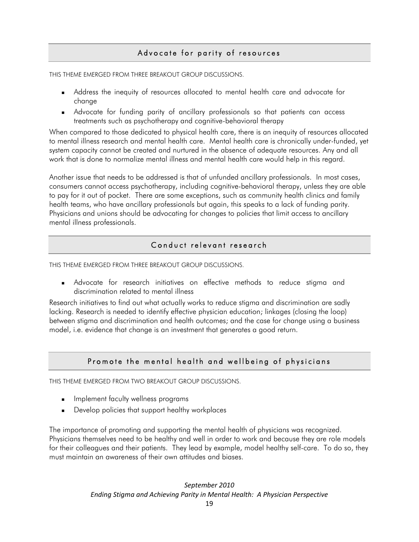## Advocate for parity of resources

<span id="page-18-0"></span>THIS THEME EMERGED FROM THREE BREAKOUT GROUP DISCUSSIONS.

- Address the inequity of resources allocated to mental health care and advocate for change
- Advocate for funding parity of ancillary professionals so that patients can access treatments such as psychotherapy and cognitive-behavioral therapy

When compared to those dedicated to physical health care, there is an inequity of resources allocated to mental illness research and mental health care. Mental health care is chronically under-funded, yet system capacity cannot be created and nurtured in the absence of adequate resources. Any and all work that is done to normalize mental illness and mental health care would help in this regard.

Another issue that needs to be addressed is that of unfunded ancillary professionals. In most cases, consumers cannot access psychotherapy, including cognitive-behavioral therapy, unless they are able to pay for it out of pocket. There are some exceptions, such as community health clinics and family health teams, who have ancillary professionals but again, this speaks to a lack of funding parity. Physicians and unions should be advocating for changes to policies that limit access to ancillary mental illness professionals.

## Conduct relevant research

THIS THEME EMERGED FROM THREE BREAKOUT GROUP DISCUSSIONS.

 Advocate for research initiatives on effective methods to reduce stigma and discrimination related to mental illness

Research initiatives to find out what actually works to reduce stigma and discrimination are sadly lacking. Research is needed to identify effective physician education; linkages (closing the loop) between stigma and discrimination and health outcomes; and the case for change using a business model, i.e. evidence that change is an investment that generates a good return.

## Promote the mental health and wellbeing of physicians

THIS THEME EMERGED FROM TWO BREAKOUT GROUP DISCUSSIONS.

- Implement faculty wellness programs
- Develop policies that support healthy workplaces

The importance of promoting and supporting the mental health of physicians was recognized. Physicians themselves need to be healthy and well in order to work and because they are role models for their colleagues and their patients. They lead by example, model healthy self-care. To do so, they must maintain an awareness of their own attitudes and biases.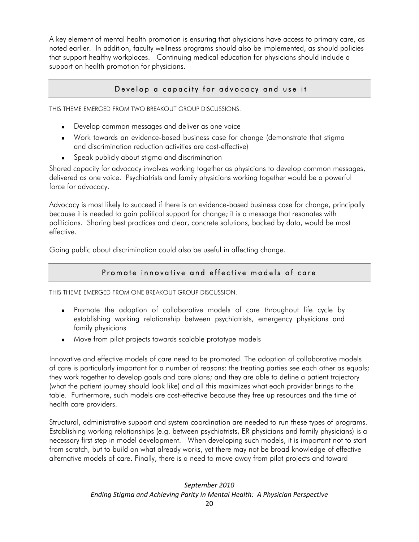<span id="page-19-0"></span>A key element of mental health promotion is ensuring that physicians have access to primary care, as noted earlier. In addition, faculty wellness programs should also be implemented, as should policies that support healthy workplaces. Continuing medical education for physicians should include a support on health promotion for physicians.

## Develop a capacity for advocacy and use it

THIS THEME EMERGED FROM TWO BREAKOUT GROUP DISCUSSIONS.

- Develop common messages and deliver as one voice
- Work towards an evidence-based business case for change (demonstrate that stigma and discrimination reduction activities are cost-effective)
- **Speak publicly about stigma and discrimination**

Shared capacity for advocacy involves working together as physicians to develop common messages, delivered as one voice. Psychiatrists and family physicians working together would be a powerful force for advocacy.

Advocacy is most likely to succeed if there is an evidence-based business case for change, principally because it is needed to gain political support for change; it is a message that resonates with politicians. Sharing best practices and clear, concrete solutions, backed by data, would be most effective.

Going public about discrimination could also be useful in affecting change.

#### Promote innovative and effective models of care

THIS THEME EMERGED FROM ONE BREAKOUT GROUP DISCUSSION.

- Promote the adoption of collaborative models of care throughout life cycle by establishing working relationship between psychiatrists, emergency physicians and family physicians
- **Move from pilot projects towards scalable prototype models**

Innovative and effective models of care need to be promoted. The adoption of collaborative models of care is particularly important for a number of reasons: the treating parties see each other as equals; they work together to develop goals and care plans; and they are able to define a patient trajectory (what the patient journey should look like) and all this maximizes what each provider brings to the table. Furthermore, such models are cost-effective because they free up resources and the time of health care providers.

Structural, administrative support and system coordination are needed to run these types of programs. Establishing working relationships (e.g. between psychiatrists, ER physicians and family physicians) is a necessary first step in model development. When developing such models, it is important not to start from scratch, but to build on what already works, yet there may not be broad knowledge of effective alternative models of care. Finally, there is a need to move away from pilot projects and toward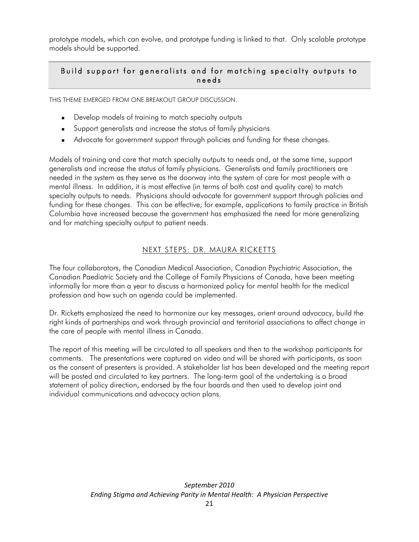<span id="page-20-0"></span>prototype models, which can evolve, and prototype funding is linked to that. Only scalable prototype models should be supported.

## Build support for generalists and for matching specialty outputs to needs

THIS THEME EMERGED FROM ONE BREAKOUT GROUP DISCUSSION.

- **Develop models of training to match specialty outputs**
- Support generalists and increase the status of family physicians
- Advocate for government support through policies and funding for these changes.

Models of training and care that match specialty outputs to needs and, at the same time, support generalists and increase the status of family physicians. Generalists and family practitioners are needed in the system as they serve as the doorway into the system of care for most people with a mental illness. In addition, it is most effective (in terms of both cost and quality care) to match specialty outputs to needs. Physicians should advocate for government support through policies and funding for these changes. This can be effective; for example, applications to family practice in British Columbia have increased because the government has emphasized the need for more generalizing and for matching specialty output to patient needs.

#### NEXT STEPS: DR. MAURA RICKETTS

The four collaborators, the Canadian Medical Association, Canadian Psychiatric Association, the Canadian Paediatric Society and the College of Family Physicians of Canada, have been meeting informally for more than a year to discuss a harmonized policy for mental health for the medical profession and how such an agenda could be implemented.

Dr. Ricketts emphasized the need to harmonize our key messages, orient around advocacy, build the right kinds of partnerships and work through provincial and territorial associations to affect change in the care of people with mental illness in Canada.

The report of this meeting will be circulated to all speakers and then to the workshop participants for comments. The presentations were captured on video and will be shared with participants, as soon as the consent of presenters is provided. A stakeholder list has been developed and the meeting report will be posted and circulated to key partners. The long-term goal of the undertaking is a broad statement of policy direction, endorsed by the four boards and then used to develop joint and individual communications and advocacy action plans.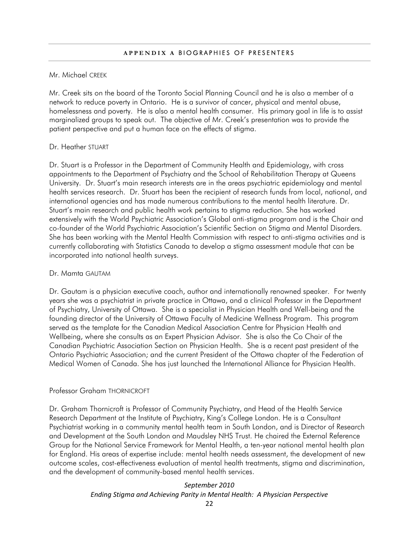#### <span id="page-21-0"></span>Mr. Michael CREEK

Mr. Creek sits on the board of the Toronto Social Planning Council and he is also a member of a network to reduce poverty in Ontario. He is a survivor of cancer, physical and mental abuse, homelessness and poverty. He is also a mental health consumer. His primary goal in life is to assist marginalized groups to speak out. The objective of Mr. Creek's presentation was to provide the patient perspective and put a human face on the effects of stigma.

#### Dr. Heather STUART

Dr. Stuart is a Professor in the Department of Community Health and Epidemiology, with cross appointments to the Department of Psychiatry and the School of Rehabilitation Therapy at Queens University. Dr. Stuart's main research interests are in the areas psychiatric epidemiology and mental health services research. Dr. Stuart has been the recipient of research funds from local, national, and international agencies and has made numerous contributions to the mental health literature. Dr. Stuart's main research and public health work pertains to stigma reduction. She has worked extensively with the World Psychiatric Association's Global anti-stigma program and is the Chair and co-founder of the World Psychiatric Association's Scientific Section on Stigma and Mental Disorders. She has been working with the Mental Health Commission with respect to anti-stigma activities and is currently collaborating with Statistics Canada to develop a stigma assessment module that can be incorporated into national health surveys.

#### Dr. Mamta GAUTAM

Dr. Gautam is a physician executive coach, author and internationally renowned speaker. For twenty years she was a psychiatrist in private practice in Ottawa, and a clinical Professor in the Department of Psychiatry, University of Ottawa. She is a specialist in Physician Health and Well-being and the founding director of the University of Ottawa Faculty of Medicine Wellness Program. This program served as the template for the Canadian Medical Association Centre for Physician Health and Wellbeing, where she consults as an Expert Physician Advisor. She is also the Co Chair of the Canadian Psychiatric Association Section on Physician Health. She is a recent past president of the Ontario Psychiatric Association; and the current President of the Ottawa chapter of the Federation of Medical Women of Canada. She has just launched the International Alliance for Physician Health.

#### Professor Graham THORNICROFT

Dr. Graham Thornicroft is Professor of Community Psychiatry, and Head of the Health Service Research Department at the Institute of Psychiatry, King's College London. He is a Consultant Psychiatrist working in a community mental health team in South London, and is Director of Research and Development at the South London and Maudsley NHS Trust. He chaired the External Reference Group for the National Service Framework for Mental Health, a ten-year national mental health plan for England. His areas of expertise include: mental health needs assessment, the development of new outcome scales, cost-effectiveness evaluation of mental health treatments, stigma and discrimination, and the development of community-based mental health services.